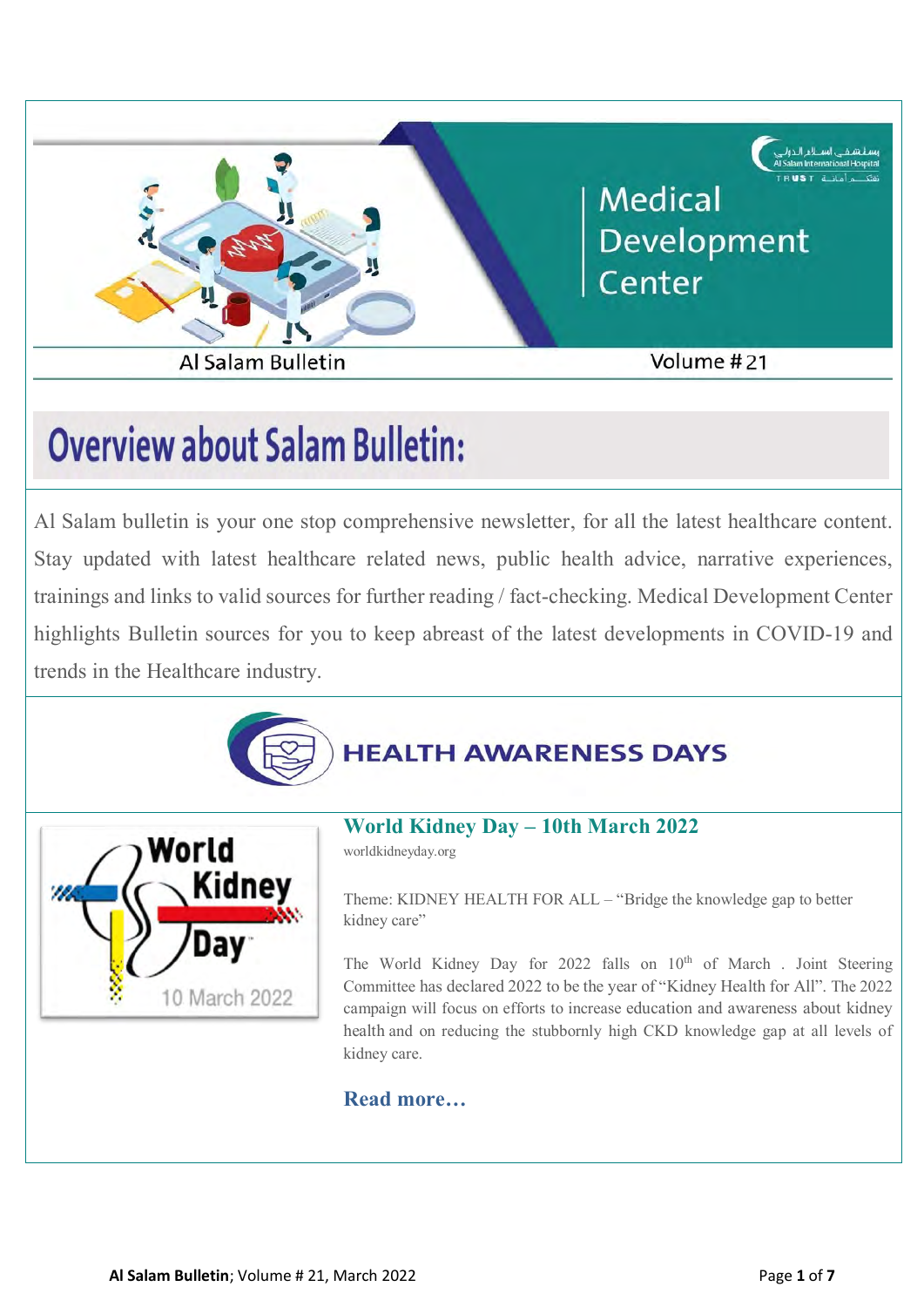

# **Overview about Salam Bulletin:**

Al Salam bulletin is your one stop comprehensive newsletter, for all the latest healthcare content. Stay updated with latest healthcare related news, public health advice, narrative experiences, trainings and links to valid sources for further reading / fact-checking. Medical Development Center highlights Bulletin sources for you to keep abreast of the latest developments in COVID-19 and trends in the Healthcare industry.



## **HEALTH AWARENESS DAYS**



## **[World Kidney Day –](https://www.worldkidneyday.org/2022-campaign/) 10th March 2022**

worldkidneyday.org

Theme: KIDNEY HEALTH FOR ALL – "Bridge the knowledge gap to better kidney care"

The World Kidney Day for 2022 falls on  $10<sup>th</sup>$  of March . Joint Steering Committee has declared 2022 to be the year of "Kidney Health for All". The 2022 campaign will focus on efforts to increase education and awareness about kidney health and on reducing the stubbornly high CKD knowledge gap at all levels of kidney care.

#### **[Read more…](https://www.worldkidneyday.org/2022-campaign/)**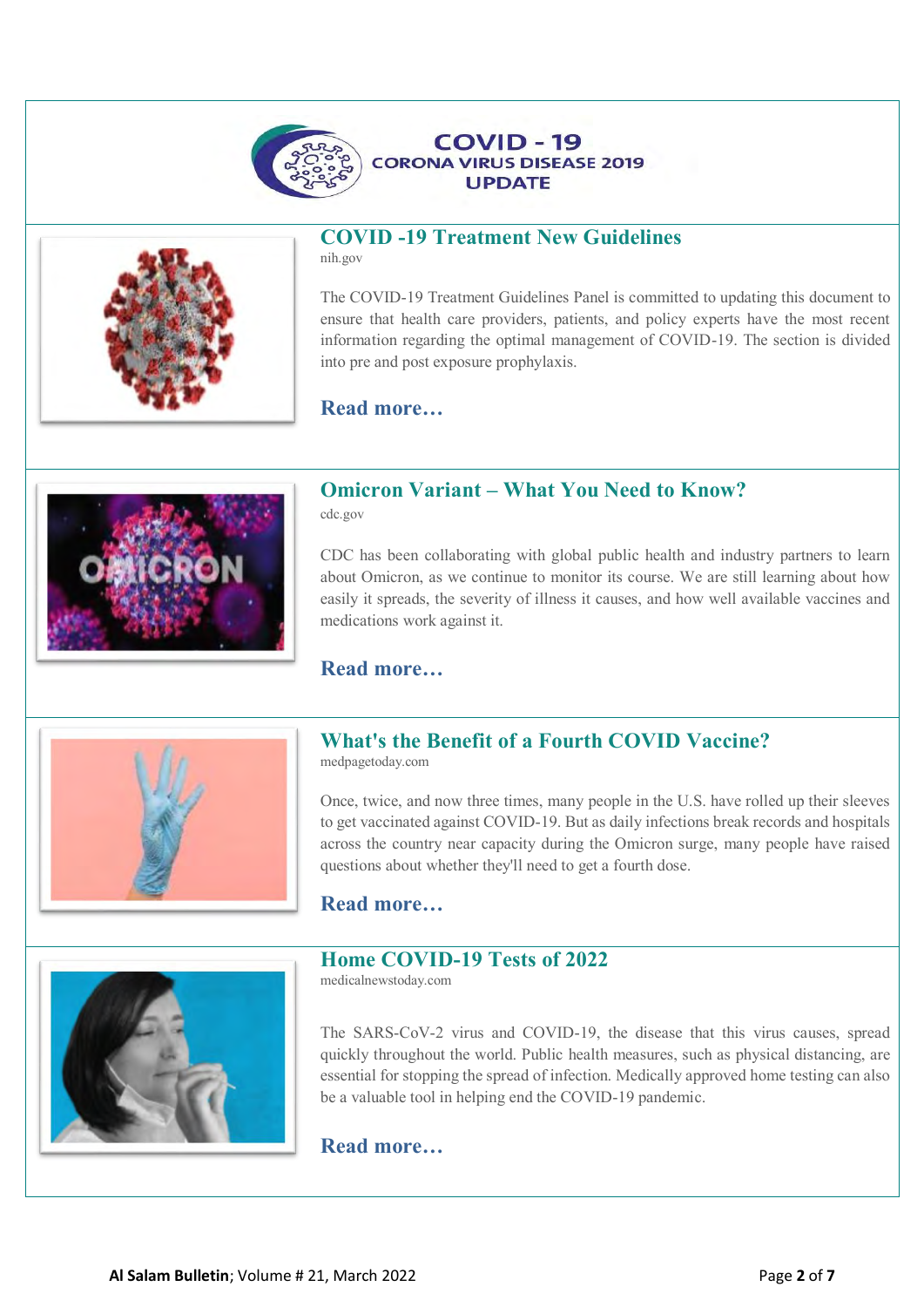



## **[COVID -19 Treatment New Guidelines](https://www.covid19treatmentguidelines.nih.gov/about-the-guidelines/whats-new/)**

**COVID - 19** 

**UPDATE** 

nih.gov

The COVID-19 Treatment Guidelines Panel is committed to updating this document to ensure that health care providers, patients, and policy experts have the most recent information regarding the optimal management of COVID-19. The section is divided into pre and post exposure prophylaxis.

#### **[Read more…](https://www.covid19treatmentguidelines.nih.gov/about-the-guidelines/whats-new/)**



#### **Omicron Variant – [What You Need to Know?](https://www.cdc.gov/coronavirus/2019-ncov/variants/omicron-variant.html?ACSTrackingID=USCDC_2067-DM75278&ACSTrackingLabel=Omicron%20Variant%3A%20What%20You%20Need%20to%20Know%20%20%7C%20COVID-19&deliveryName=USCDC_2067-DM75278)**

cdc.gov

CDC has been collaborating with global public health and industry partners to learn about Omicron, as we continue to monitor its course. We are still learning about how easily it spreads, the severity of illness it causes, and how well available vaccines and medications work against it.

#### **[Read more…](https://www.cdc.gov/coronavirus/2019-ncov/variants/omicron-variant.html?ACSTrackingID=USCDC_2067-DM75278&ACSTrackingLabel=Omicron%20Variant%3A%20What%20You%20Need%20to%20Know%20%20%7C%20COVID-19&deliveryName=USCDC_2067-DM75278)**



## **[What's the Benefit of a Fourth COVID Vaccine?](https://www.medpagetoday.com/special-reports/exclusives/96591?xid=nl_covidupdate_2022-01-11&eun=g1623201d0r&utm_source=Sailthru&utm_medium=email&utm_campaign=DailyUpdate_011122&utm_term=NL_Gen_Int_Daily_News_Update_active)**

medpagetoday.com

Once, twice, and now three times, many people in the U.S. have rolled up their sleeves to get vaccinated against COVID-19. But as daily infections break records and hospitals across the country near capacity during the Omicron surge, many people have raised questions about whether they'll need to get a fourth dose.

#### **[Read more…](https://www.medpagetoday.com/special-reports/exclusives/96591?xid=nl_covidupdate_2022-01-11&eun=g1623201d0r&utm_source=Sailthru&utm_medium=email&utm_campaign=DailyUpdate_011122&utm_term=NL_Gen_Int_Daily_News_Update_active)**



The SARS-CoV-2 virus and COVID-19, the disease that this virus causes, spread quickly throughout the world. Public health measures, such as physical distancing, are essential for stopping the spread of infection. Medically approved home testing can also be a valuable tool in helping end the COVID-19 pandemic.

#### **[Read more…](https://www.medicalnewstoday.com/articles/at-home-coronavirus-test?utm_source=Sailthru%20Email&utm_medium=Email&utm_campaign=MNT%20Daily%20News&utm_content=2022-02-07&apid=36757047&rvid=b9796cb83aacb3c1d8fb48b271c44826f716a6c754ae1401e46e4aa645ea6b69#_noHeaderPrefixedContent)**

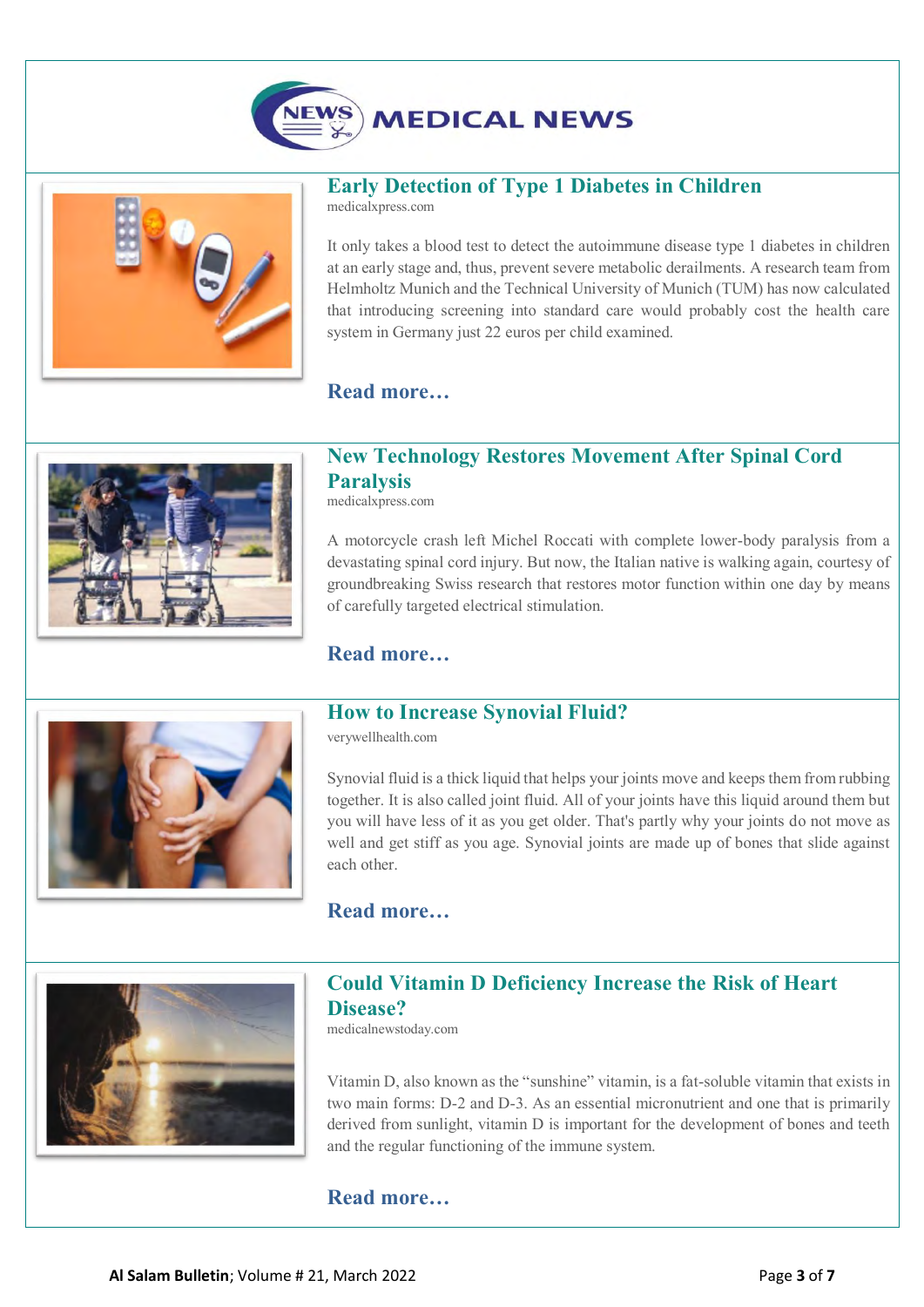



#### **[Early Detection of Type 1 Diabetes in Children](https://medicalxpress.com/news/2022-02-early-diabetes-children.html?utm_source=nwletter&utm_medium=email&utm_campaign=daily-nwletter)**

medicalxpress.com

It only takes a blood test to detect the autoimmune disease type 1 diabetes in children at an early stage and, thus, prevent severe metabolic derailments. A research team from Helmholtz Munich and the Technical University of Munich (TUM) has now calculated that introducing screening into standard care would probably cost the health care system in Germany just 22 euros per child examined.

#### **[Read more…](https://medicalxpress.com/news/2022-02-early-diabetes-children.html?utm_source=nwletter&utm_medium=email&utm_campaign=daily-nwletter)**



#### **[New Technology Restores Movement After Spinal Cord](https://medicalxpress.com/news/2022-02-technology-movement-spinal-cord-paralysis.html?utm_source=nwletter&utm_medium=email&utm_campaign=daily-nwletter)  [Paralysis](https://medicalxpress.com/news/2022-02-technology-movement-spinal-cord-paralysis.html?utm_source=nwletter&utm_medium=email&utm_campaign=daily-nwletter)**

medicalxpress.com

A motorcycle crash left Michel Roccati with complete lower-body paralysis from a devastating spinal cord injury. But now, the Italian native is walking again, courtesy of groundbreaking Swiss research that restores [motor function](https://medicalxpress.com/tags/motor+function/) within one day by means of carefully targeted [electrical stimulation.](https://medicalxpress.com/tags/electrical+stimulation/)

#### **[Read more…](https://medicalxpress.com/news/2022-02-technology-movement-spinal-cord-paralysis.html?utm_source=nwletter&utm_medium=email&utm_campaign=daily-nwletter)**



#### **[How to Increase Synovial Fluid?](https://www.verywellhealth.com/how-to-increase-synovial-fluid-5114374)**

verywellhealth.com

Synovial fluid is a thick liquid that helps your joints move and keeps them from rubbing together. It is also called joint fluid. All of your joints have this liquid around them but you will have less of it as you get older. That's partly why your joints do not move as well and get stiff as you age. Synovial joints are made up of bones that slide against each other.

#### **[Read more…](https://www.verywellhealth.com/how-to-increase-synovial-fluid-5114374)**



#### **[Could Vitamin D Deficiency Increase the Risk of Heart](https://www.medicalnewstoday.com/articles/could-vitamin-d-deficiency-increase-the-risk-of-heart-disease)  [Disease?](https://www.medicalnewstoday.com/articles/could-vitamin-d-deficiency-increase-the-risk-of-heart-disease)**

medicalnewstoday.com

[Vitamin D,](https://www.medicalnewstoday.com/articles/161618) also known as the "sunshine" vitamin, is a fat-soluble vitamin that exists in two main forms: D-2 and D-3. As an essential micronutrient and one that is primarily derived from sunlight, vitamin D is important for the development of bones and teeth and the regular functioning of the immune system.

#### **[Read more…](https://www.medicalnewstoday.com/articles/could-vitamin-d-deficiency-increase-the-risk-of-heart-disease)**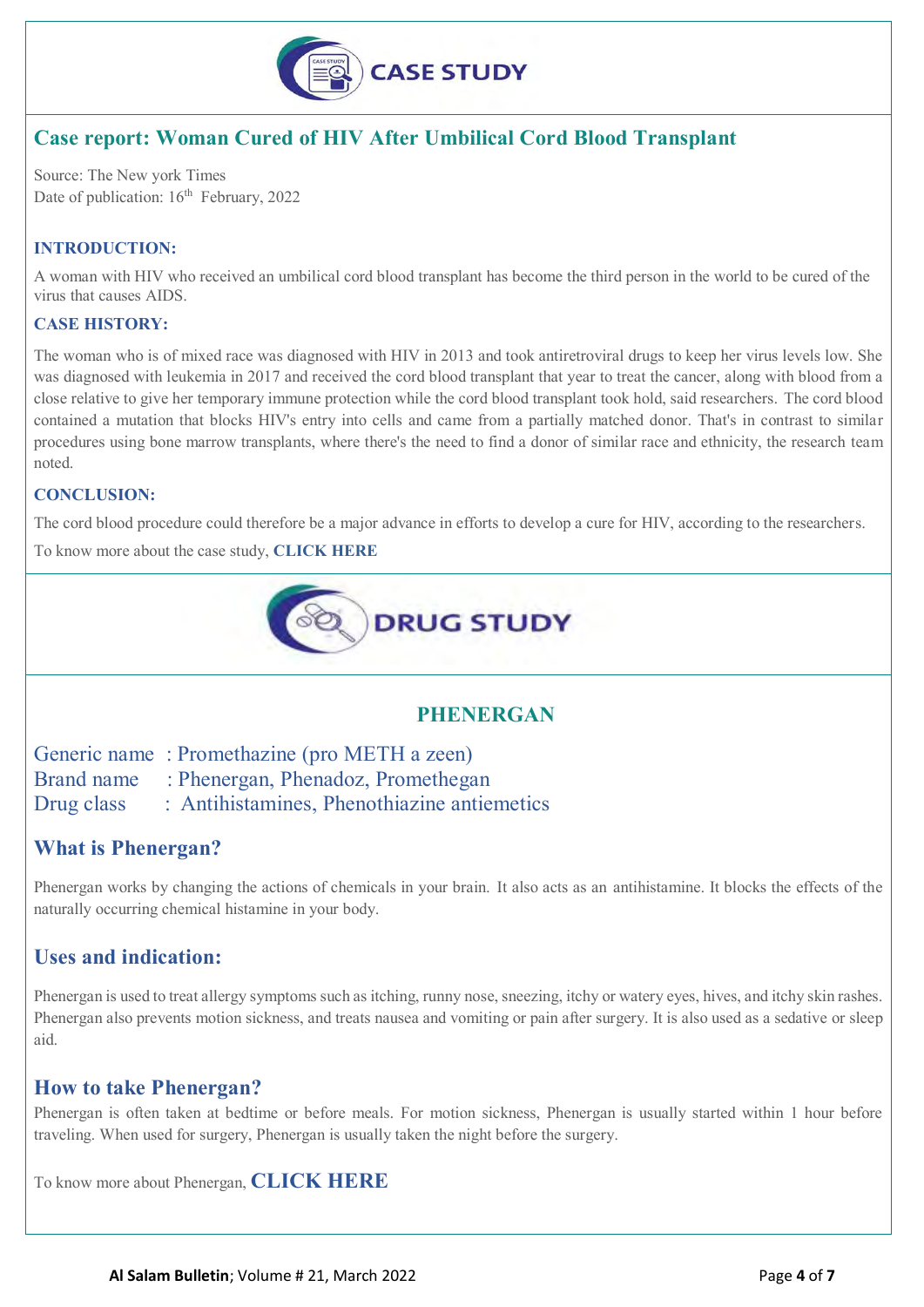

## **Case report: Woman Cured of HIV After Umbilical Cord Blood Transplant**

Source: The New york Times Date of publication: 16<sup>th</sup> February, 2022

#### **INTRODUCTION:**

A woman with [HIV](https://www.drugs.com/condition/hiv-infection.html) who received an umbilical cord blood transplant has become the third person in the world to be cured of the virus that causes AIDS.

#### **CASE HISTORY:**

The woman who is of mixed race was diagnosed with HIV in 2013 and took antiretroviral drugs to keep her virus levels low. She was diagnosed with [leukemia](https://www.drugs.com/condition/leukemia.html) in 2017 and received the [cord blood](https://www.acog.org/womens-health/faqs/cord-blood-banking) transplant that year to treat the cancer, along with blood from a close relative to give her temporary immune protection while the cord blood transplant took hold, said researchers. The cord blood contained a mutation that blocks HIV's entry into cells and came from a partially matched donor. That's in contrast to similar procedures using bone marrow transplants, where there's the need to find a donor of similar race and ethnicity, the research team noted.

#### **CONCLUSION:**

The cord blood procedure could therefore be a major advance in efforts to develop a cure for HIV, according to the researchers.

To know more about the case study, **[CLICK HERE](https://www.drugs.com/news/woman-cured-hiv-after-umbilical-cord-blood-transplant-103572.html)**



#### **PHENERGAN**

Generic name : [Promethazine](https://www.drugs.com/promethazine.html) (pro METH a zeen)

Brand name : Phenergan, Phenadoz, Promethegan

Drug class : [Antihistamines,](https://www.drugs.com/drug-class/antihistamines.html) [Phenothiazine antiemetics](https://www.drugs.com/drug-class/phenothiazine-antiemetics.html)

#### **What is Phenergan?**

Phenergan works by changing the actions of chemicals in your brain. It also acts as an antihistamine. It blocks the effects of the naturally occurring chemical histamine in your body.

#### **Uses and indication:**

Phenergan is used to treat allergy symptoms such as itching, runny nose, sneezing, itchy or watery eyes, hives, and itchy skin rashes. Phenergan also prevents motion sickness, and treats nausea and vomiting or pain after surgery. It is also used as a sedative or sleep aid.

#### **How to take Phenergan?**

Phenergan is often taken at bedtime or before meals. For motion sickness, Phenergan is usually started within 1 hour before traveling. When used for surgery, Phenergan is usually taken the night before the surgery.

To know more about Phenergan, **[CLICK HERE](https://www.drugs.com/phenergan.html)**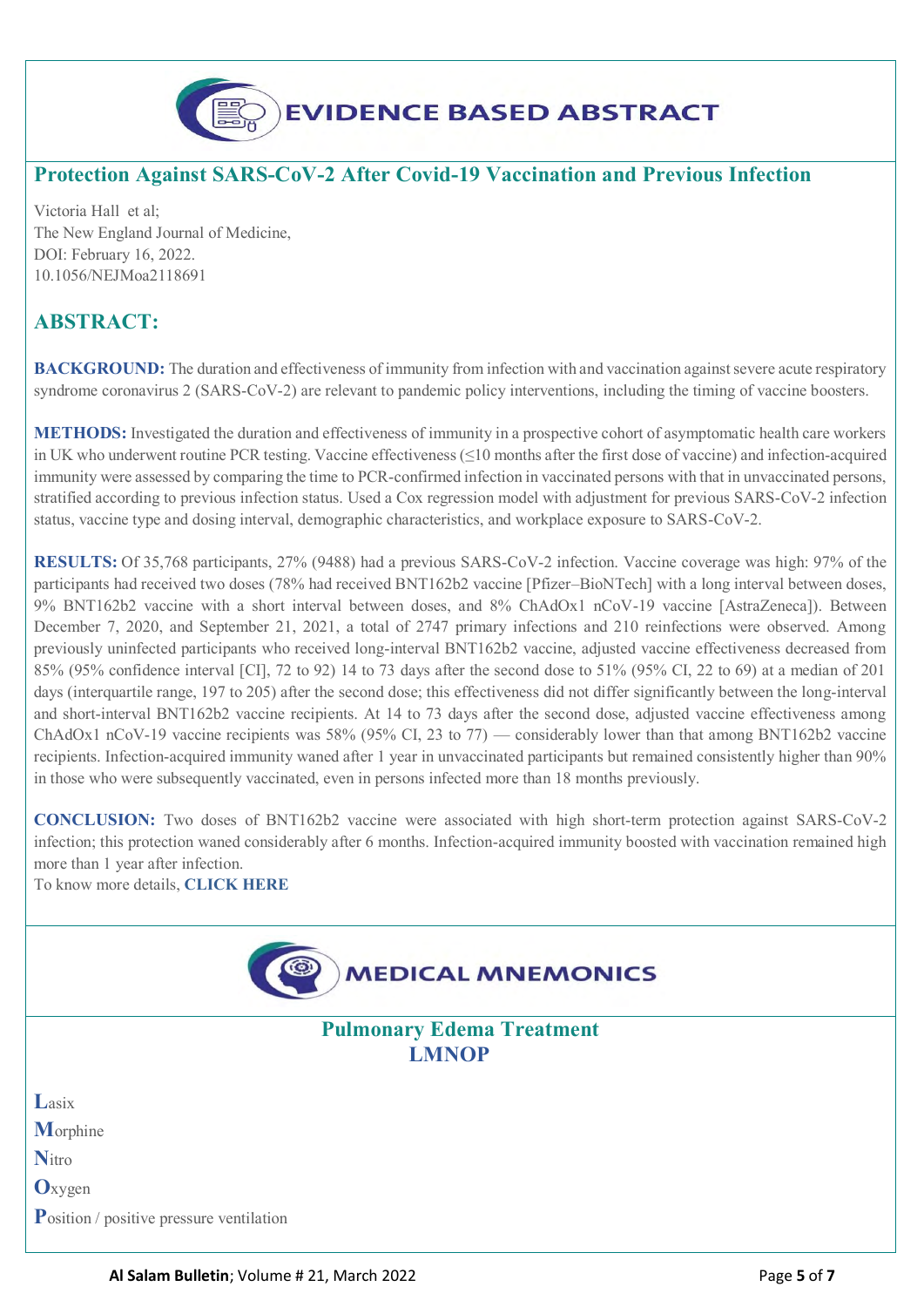

### **Protection Against SARS-CoV-2 After Covid-19 Vaccination and Previous Infection**

Victoria Hall et al; The New England Journal of Medicine, DOI: February 16, 2022. 10.1056/NEJMoa2118691

## **ABSTRACT:**

**BACKGROUND:** The duration and effectiveness of immunity from infection with and vaccination against severe acute respiratory syndrome coronavirus 2 (SARS-CoV-2) are relevant to pandemic policy interventions, including the timing of vaccine boosters.

**METHODS:** Investigated the duration and effectiveness of immunity in a prospective cohort of asymptomatic health care workers in UK who underwent routine PCR testing. Vaccine effectiveness (≤10 months after the first dose of vaccine) and infection-acquired immunity were assessed by comparing the time to PCR-confirmed infection in vaccinated persons with that in unvaccinated persons, stratified according to previous infection status. Used a Cox regression model with adjustment for previous SARS-CoV-2 infection status, vaccine type and dosing interval, demographic characteristics, and workplace exposure to SARS-CoV-2.

**RESULTS:** Of 35,768 participants, 27% (9488) had a previous SARS-CoV-2 infection. Vaccine coverage was high: 97% of the participants had received two doses (78% had received BNT162b2 vaccine [Pfizer–BioNTech] with a long interval between doses, 9% BNT162b2 vaccine with a short interval between doses, and 8% ChAdOx1 nCoV-19 vaccine [AstraZeneca]). Between December 7, 2020, and September 21, 2021, a total of 2747 primary infections and 210 reinfections were observed. Among previously uninfected participants who received long-interval BNT162b2 vaccine, adjusted vaccine effectiveness decreased from 85% (95% confidence interval [CI], 72 to 92) 14 to 73 days after the second dose to 51% (95% CI, 22 to 69) at a median of 201 days (interquartile range, 197 to 205) after the second dose; this effectiveness did not differ significantly between the long-interval and short-interval BNT162b2 vaccine recipients. At 14 to 73 days after the second dose, adjusted vaccine effectiveness among ChAdOx1 nCoV-19 vaccine recipients was 58% (95% CI, 23 to 77) — considerably lower than that among BNT162b2 vaccine recipients. Infection-acquired immunity waned after 1 year in unvaccinated participants but remained consistently higher than 90% in those who were subsequently vaccinated, even in persons infected more than 18 months previously.

**CONCLUSION:** Two doses of BNT162b2 vaccine were associated with high short-term protection against SARS-CoV-2 infection; this protection waned considerably after 6 months. Infection-acquired immunity boosted with vaccination remained high more than 1 year after infection.

To know more details, **[CLICK HERE](https://www.nejm.org/doi/full/10.1056/NEJMoa2118691?query=featured_home)**

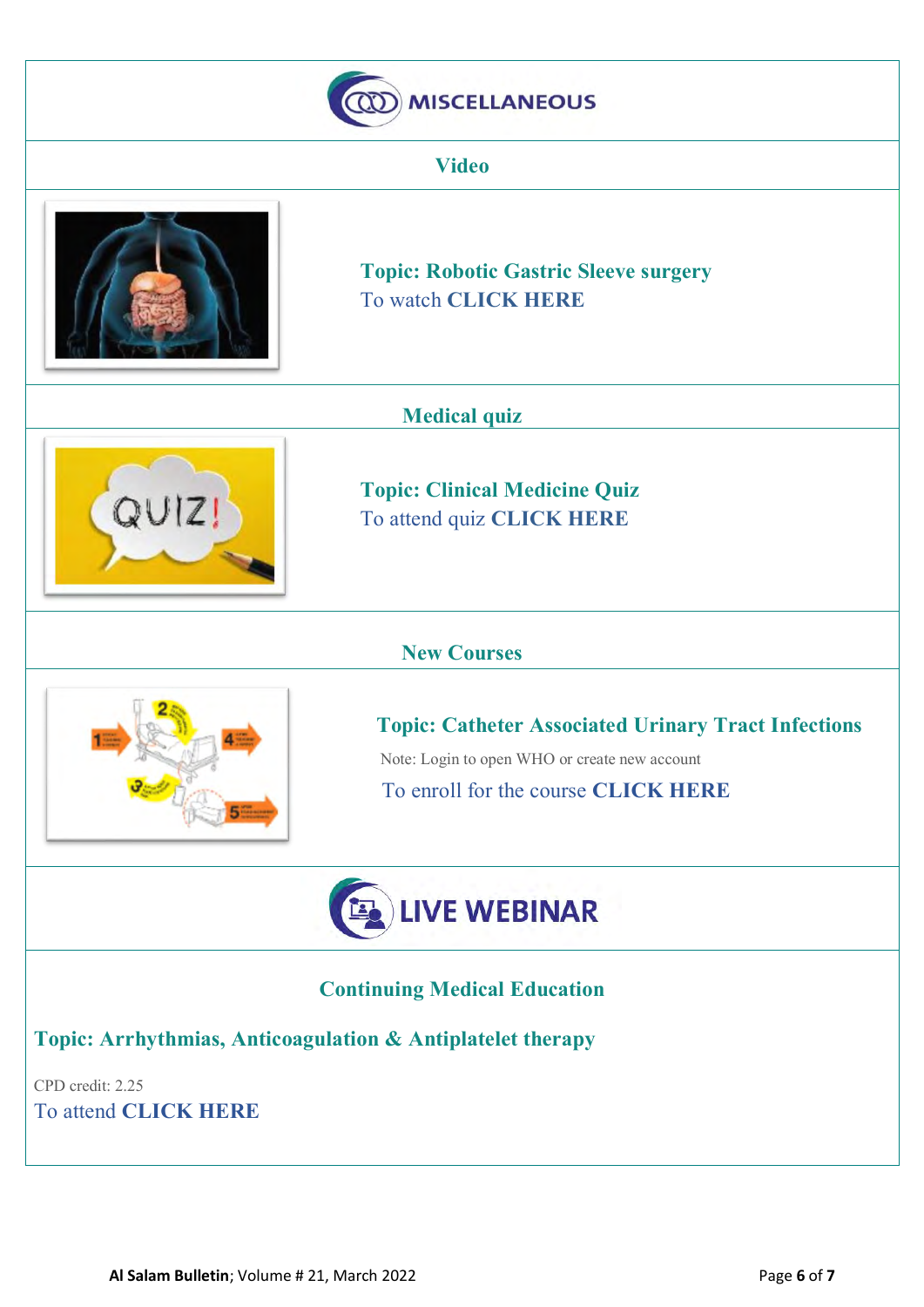